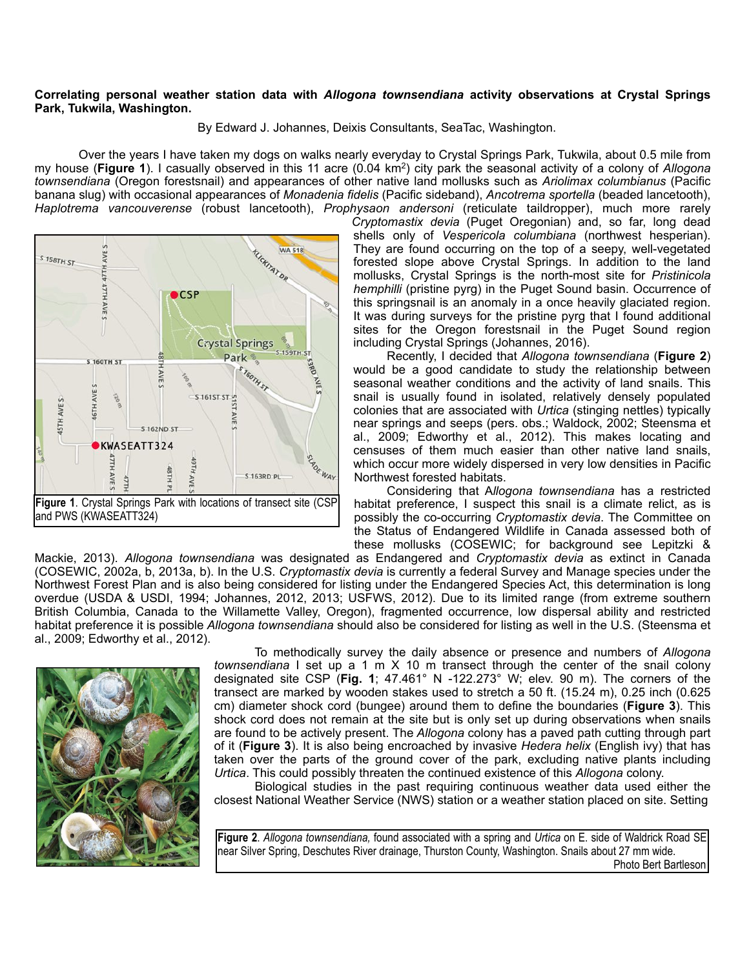## **Correlating personal weather station data with** *Allogona townsendiana* **activity observations at Crystal Springs Park, Tukwila, Washington.**

By Edward J. Johannes, Deixis Consultants, SeaTac, Washington.

 Over the years I have taken my dogs on walks nearly everyday to Crystal Springs Park, Tukwila, about 0.5 mile from my house (**Figure 1**). I casually observed in this 11 acre (0.04 km2) city park the seasonal activity of a colony of *Allogona townsendiana* (Oregon forestsnail) and appearances of other native land mollusks such as *Ariolimax columbianus* (Pacific banana slug) with occasional appearances of *Monadenia fidelis* (Pacific sideband), *Ancotrema sportella* (beaded lancetooth), *Haplotrema vancouverense* (robust lancetooth), *Prophysaon andersoni* (reticulate taildropper), much more rarely



*Cryptomastix devia* (Puget Oregonian) and, so far, long dead shells only of *Vespericola columbiana* (northwest hesperian). They are found occurring on the top of a seepy, well-vegetated forested slope above Crystal Springs. In addition to the land mollusks, Crystal Springs is the north-most site for *Pristinicola hemphilli* (pristine pyrg) in the Puget Sound basin. Occurrence of this springsnail is an anomaly in a once heavily glaciated region. It was during surveys for the pristine pyrg that I found additional sites for the Oregon forestsnail in the Puget Sound region including Crystal Springs (Johannes, 2016).

 Recently, I decided that *Allogona townsendiana* (**Figure 2**) would be a good candidate to study the relationship between seasonal weather conditions and the activity of land snails. This snail is usually found in isolated, relatively densely populated colonies that are associated with *Urtica* (stinging nettles) typically near springs and seeps (pers. obs.; Waldock, 2002; Steensma et al., 2009; Edworthy et al., 2012). This makes locating and censuses of them much easier than other native land snails, which occur more widely dispersed in very low densities in Pacific Northwest forested habitats.

 Considering that A*llogona townsendiana* has a restricted habitat preference, I suspect this snail is a climate relict, as is possibly the co-occurring *Cryptomastix devia*. The Committee on the Status of Endangered Wildlife in Canada assessed both of these mollusks (COSEWIC; for background see Lepitzki &

Mackie, 2013). *Allogona townsendiana* was designated as Endangered and *Cryptomastix devia* as extinct in Canada (COSEWIC, 2002a, b, 2013a, b). In the U.S. *Cryptomastix devia* is currently a federal Survey and Manage species under the Northwest Forest Plan and is also being considered for listing under the Endangered Species Act, this determination is long overdue (USDA & USDI, 1994; Johannes, 2012, 2013; USFWS, 2012). Due to its limited range (from extreme southern British Columbia, Canada to the Willamette Valley, Oregon), fragmented occurrence, low dispersal ability and restricted habitat preference it is possible *Allogona townsendiana* should also be considered for listing as well in the U.S. (Steensma et al., 2009; Edworthy et al., 2012).



 To methodically survey the daily absence or presence and numbers of *Allogona townsendiana* I set up a 1 m X 10 m transect through the center of the snail colony designated site CSP (**Fig. 1**; 47.461° N -122.273° W; elev. 90 m). The corners of the transect are marked by wooden stakes used to stretch a 50 ft. (15.24 m), 0.25 inch (0.625 cm) diameter shock cord (bungee) around them to define the boundaries (**Figure 3**). This shock cord does not remain at the site but is only set up during observations when snails are found to be actively present. The *Allogona* colony has a paved path cutting through part of it (**Figure 3**). It is also being encroached by invasive *Hedera helix* (English ivy) that has taken over the parts of the ground cover of the park, excluding native plants including *Urtica*. This could possibly threaten the continued existence of this *Allogona* colony.

 Biological studies in the past requiring continuous weather data used either the closest National Weather Service (NWS) station or a weather station placed on site. Setting

**Figure 2**. *Allogona townsendiana,* found associated with a spring and *Urtica* on E. side of Waldrick Road SE near Silver Spring, Deschutes River drainage, Thurston County, Washington. Snails about 27 mm wide.

Photo Bert Bartleson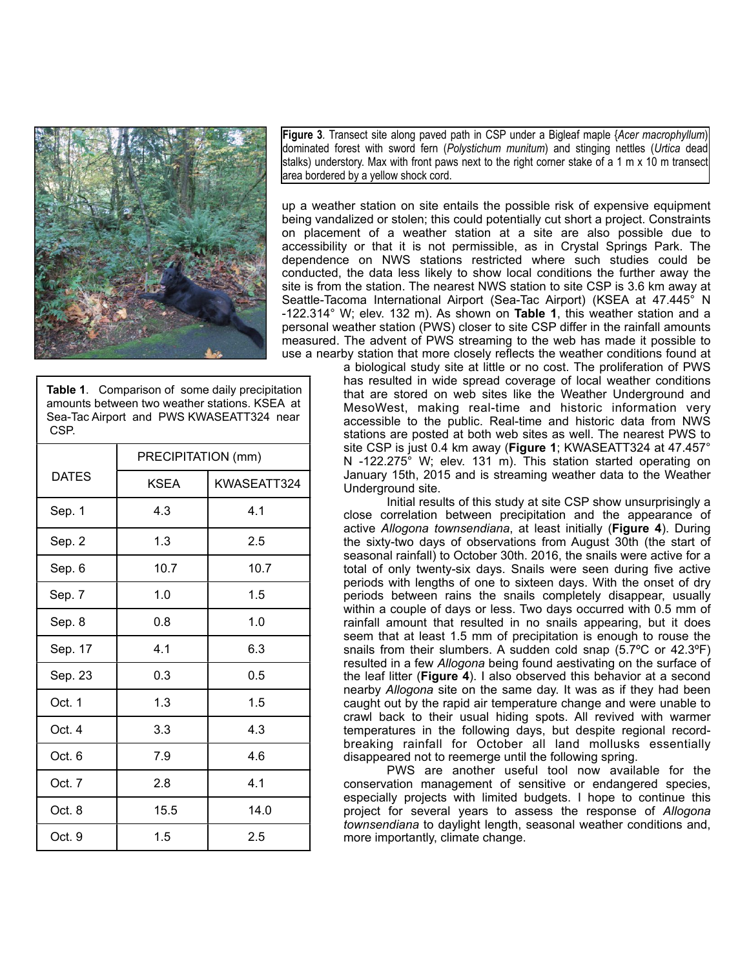

**Figure 3***.* Transect site along paved path in CSP under a Bigleaf maple {*Acer macrophyllum*) dominated forest with sword fern (*Polystichum munitum*) and stinging nettles (*Urtica* dead stalks) understory. Max with front paws next to the right corner stake of a 1 m x 10 m transect area bordered by a yellow shock cord.

up a weather station on site entails the possible risk of expensive equipment being vandalized or stolen; this could potentially cut short a project. Constraints on placement of a weather station at a site are also possible due to accessibility or that it is not permissible, as in Crystal Springs Park. The dependence on NWS stations restricted where such studies could be conducted, the data less likely to show local conditions the further away the site is from the station. The nearest NWS station to site CSP is 3.6 km away at Seattle-Tacoma International Airport (Sea-Tac Airport) (KSEA at 47.445° N -122.314° W; elev. 132 m). As shown on **Table 1**, this weather station and a personal weather station (PWS) closer to site CSP differ in the rainfall amounts measured. The advent of PWS streaming to the web has made it possible to use a nearby station that more closely reflects the weather conditions found at

a biological study site at little or no cost. The proliferation of PWS has resulted in wide spread coverage of local weather conditions that are stored on web sites like the Weather Underground and MesoWest, making real-time and historic information very accessible to the public. Real-time and historic data from NWS stations are posted at both web sites as well. The nearest PWS to site CSP is just 0.4 km away (**Figure 1**; KWASEATT324 at 47.457° N -122.275° W; elev. 131 m). This station started operating on January 15th, 2015 and is streaming weather data to the Weather Underground site.

 Initial results of this study at site CSP show unsurprisingly a close correlation between precipitation and the appearance of active *Allogona townsendiana*, at least initially (**Figure 4**). During the sixty-two days of observations from August 30th (the start of seasonal rainfall) to October 30th. 2016, the snails were active for a total of only twenty-six days. Snails were seen during five active periods with lengths of one to sixteen days. With the onset of dry periods between rains the snails completely disappear, usually within a couple of days or less. Two days occurred with 0.5 mm of rainfall amount that resulted in no snails appearing, but it does seem that at least 1.5 mm of precipitation is enough to rouse the snails from their slumbers. A sudden cold snap (5.7ºC or 42.3ºF) resulted in a few *Allogona* being found aestivating on the surface of the leaf litter (**Figure 4**). I also observed this behavior at a second nearby *Allogona* site on the same day. It was as if they had been caught out by the rapid air temperature change and were unable to crawl back to their usual hiding spots. All revived with warmer temperatures in the following days, but despite regional recordbreaking rainfall for October all land mollusks essentially disappeared not to reemerge until the following spring.

 PWS are another useful tool now available for the conservation management of sensitive or endangered species, especially projects with limited budgets. I hope to continue this project for several years to assess the response of *Allogona townsendiana* to daylight length, seasonal weather conditions and, more importantly, climate change.

**Table 1**. Comparison of some daily precipitation amounts between two weather stations. KSEA at Sea-Tac Airport and PWS KWASEATT324 near CSP.

|              | PRECIPITATION (mm) |             |
|--------------|--------------------|-------------|
| <b>DATES</b> | <b>KSEA</b>        | KWASEATT324 |
| Sep. 1       | 4.3                | 4.1         |
| Sep. 2       | 1.3                | 2.5         |
| Sep. 6       | 10.7               | 10.7        |
| Sep. 7       | 1.0                | 1.5         |
| Sep. 8       | 0.8                | 1.0         |
| Sep. 17      | 4.1                | 6.3         |
| Sep. 23      | 0.3                | 0.5         |
| Oct. 1       | 1.3                | 1.5         |
| Oct. 4       | 3.3                | 4.3         |
| Oct. 6       | 7.9                | 4.6         |
| Oct. 7       | 2.8                | 4.1         |
| Oct. 8       | 15.5               | 14.0        |
| Oct. 9       | 1.5                | $2.5\,$     |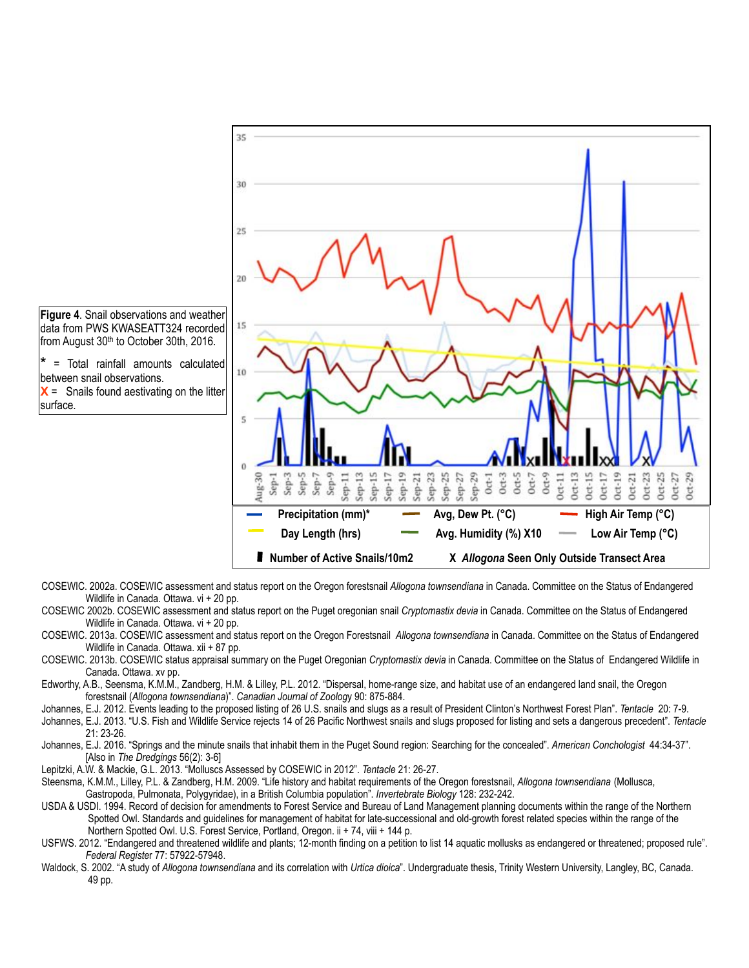

- COSEWIC. 2002a. COSEWIC assessment and status report on the Oregon forestsnail *Allogona townsendiana* in Canada. Committee on the Status of Endangered Wildlife in Canada. Ottawa. vi + 20 pp.
- COSEWIC 2002b. COSEWIC assessment and status report on the Puget oregonian snail *Cryptomastix devia* in Canada. Committee on the Status of Endangered Wildlife in Canada. Ottawa. vi + 20 pp.
- COSEWIC. 2013a. COSEWIC assessment and status report on the Oregon Forestsnail *Allogona townsendiana* in Canada. Committee on the Status of Endangered Wildlife in Canada. Ottawa. xii + 87 pp.
- COSEWIC. 2013b. COSEWIC status appraisal summary on the Puget Oregonian *Cryptomastix devia* in Canada. Committee on the Status of Endangered Wildlife in Canada. Ottawa. xv pp.
- Edworthy, A.B., Seensma, K.M.M., Zandberg, H.M. & Lilley, P.L. 2012. "Dispersal, home-range size, and habitat use of an endangered land snail, the Oregon forestsnail (*Allogona townsendiana*)". *Canadian Journal of Zoolog*y 90: 875-884.
- Johannes, E.J. 2012. Events leading to the proposed listing of 26 U.S. snails and slugs as a result of President Clinton's Northwest Forest Plan". *Tentacle* 20: 7-9.
- Johannes, E.J. 2013. "U.S. Fish and Wildlife Service rejects 14 of 26 Pacific Northwest snails and slugs proposed for listing and sets a dangerous precedent". Tentacle 21: 23-26.
- Johannes, E.J. 2016. "Springs and the minute snails that inhabit them in the Puget Sound region: Searching for the concealed". *American Conchologist* 44:34-37". [Also in *The Dredgings* 56(2): 3-6]
- Lepitzki, A.W. & Mackie, G.L. 2013. "Molluscs Assessed by COSEWIC in 2012". *Tentacle* 21: 26-27.
- Steensma, K.M.M., Lilley, P.L. & Zandberg, H.M. 2009. "Life history and habitat requirements of the Oregon forestsnail, *Allogona townsendiana* (Mollusca, Gastropoda, Pulmonata, Polygyridae), in a British Columbia population". *Invertebrate Biology* 128: 232-242.
- USDA & USDI. 1994. Record of decision for amendments to Forest Service and Bureau of Land Management planning documents within the range of the Northern Spotted Owl. Standards and guidelines for management of habitat for late-successional and old-growth forest related species within the range of the Northern Spotted Owl. U.S. Forest Service, Portland, Oregon. ii + 74, viii + 144 p.
- USFWS. 2012. "Endangered and threatened wildlife and plants; 12-month finding on a petition to list 14 aquatic mollusks as endangered or threatened; proposed rule". *Federal Registe*r 77: 57922-57948.
- Waldock, S. 2002. "A study of *Allogona townsendiana* and its correlation with *Urtica dioica*". Undergraduate thesis, Trinity Western University, Langley, BC, Canada. 49 pp.